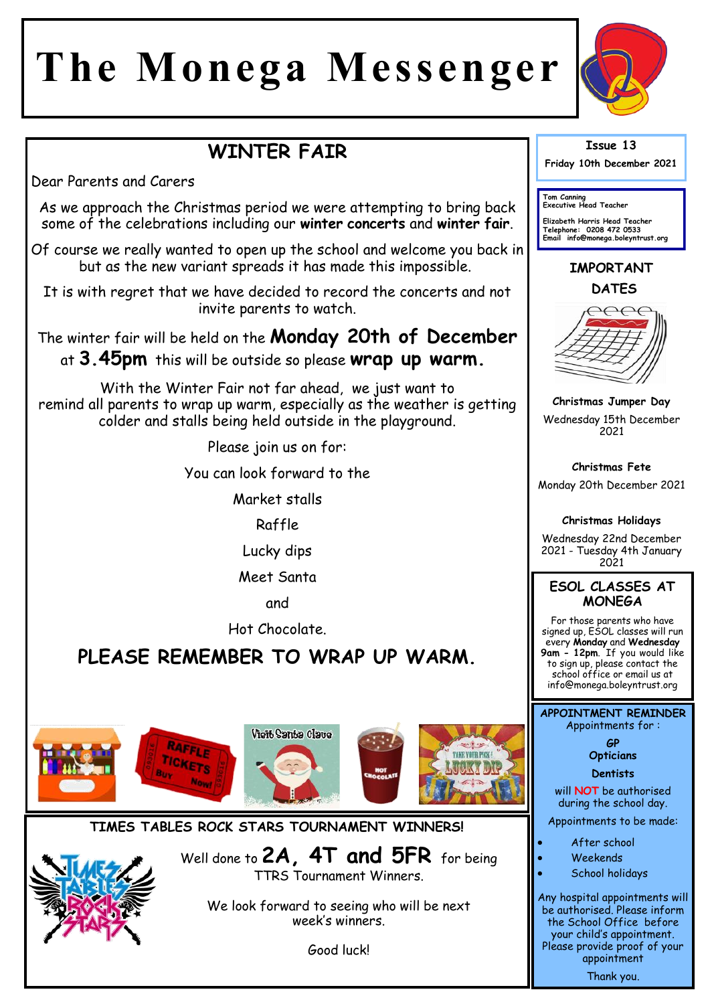# **The Monega Messenger**



# **WINTER FAIR**

Dear Parents and Carers

As we approach the Christmas period we were attempting to bring back some of the celebrations including our **winter concerts** and **winter fair**.

Of course we really wanted to open up the school and welcome you back in but as the new variant spreads it has made this impossible.

It is with regret that we have decided to record the concerts and not invite parents to watch.

The winter fair will be held on the **Monday 20th of December**  at **3.45pm** this will be outside so please **wrap up warm.**

With the Winter Fair not far ahead, we just want to remind all parents to wrap up warm, especially as the weather is getting colder and stalls being held outside in the playground.

Please join us on for:

You can look forward to the

Market stalls

Raffle

Lucky dips

Meet Santa

and

Hot Chocolate.

# **PLEASE REMEMBER TO WRAP UP WARM.**







## **TIMES TABLES ROCK STARS TOURNAMENT WINNERS!**

Well done to **2A, 4T and 5FR** for being TTRS Tournament Winners.

We look forward to seeing who will be next week's winners.

Good luck!

#### **Issue 13**

**Friday 10th December 2021** 

**Tom Canning Executive Head Teacher**

**Elizabeth Harris Head Teacher Telephone: 0208 472 0533 Email info@monega.boleyntrust.org** 

# **IMPORTANT DATES**



**Christmas Jumper Day** Wednesday 15th December 2021

**Christmas Fete** Monday 20th December 2021

#### **Christmas Holidays**

Wednesday 22nd December 2021 - Tuesday 4th January 2021

#### **ESOL CLASSES AT MONEGA**

For those parents who have signed up, ESOL classes will run every **Monday** and **Wednesday 9am - 12pm**. If you would like to sign up, please contact the school office or email us at info@monega.boleyntrust.org

**APPOINTMENT REMINDER** Appointments for :

> **GP Opticians**

**Dentists** 

will **NOT** be authorised during the school day.

Appointments to be made:

- After school
- Weekends
- School holidays

Any hospital appointments will be authorised. Please inform the School Office before your child's appointment. Please provide proof of your appointment Thank you.